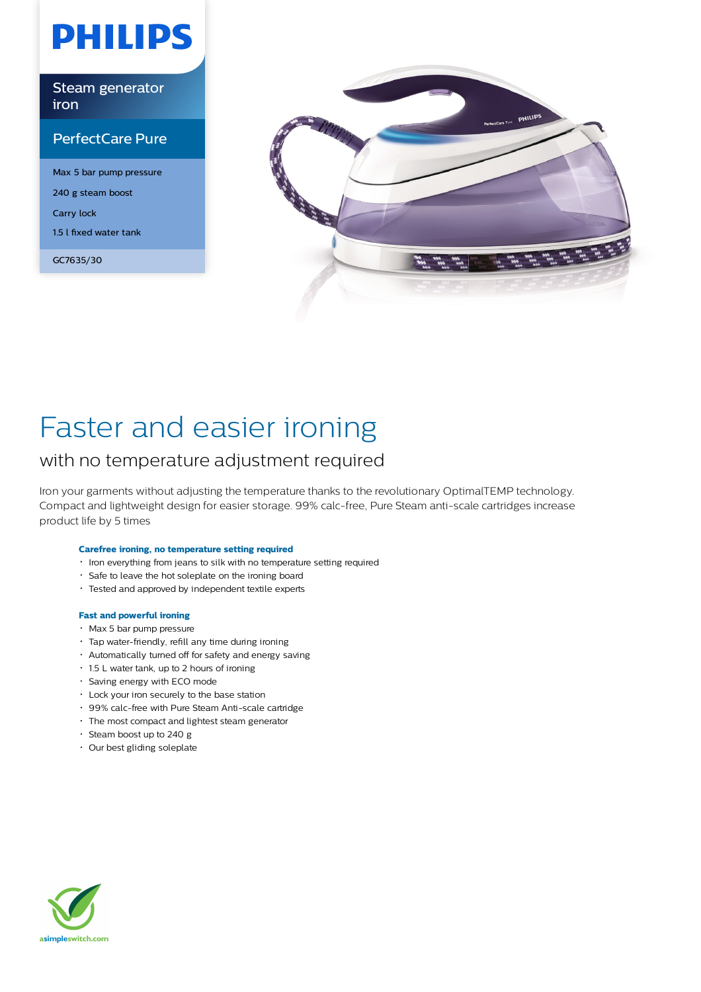# **PHILIPS**

Steam generator iron

### PerfectCare Pure

Max 5 bar pump pressure 240 g steam boost Carry lock 1.5 l fixed water tank

GC7635/30



# Faster and easier ironing

### with no temperature adjustment required

Iron your garments without adjusting the temperature thanks to the revolutionary OptimalTEMP technology. Compact and lightweight design for easier storage. 99% calc-free, Pure Steam anti-scale cartridges increase product life by 5 times

#### **Carefree ironing, no temperature setting required**

- $\cdot$  Iron everything from jeans to silk with no temperature setting required
- Safe to leave the hot soleplate on the ironing board
- Tested and approved by independent textile experts

#### **Fast and powerful ironing**

- Max 5 bar pump pressure
- Tap water-friendly, refill any time during ironing
- Automatically turned off for safety and energy saving
- 1.5 L water tank, up to 2 hours of ironing
- Saving energy with ECO mode
- Lock your iron securely to the base station
- 99% calc-free with Pure Steam Anti-scale cartridge
- The most compact and lightest steam generator
- $\cdot$  Steam boost up to 240 g
- Our best gliding soleplate

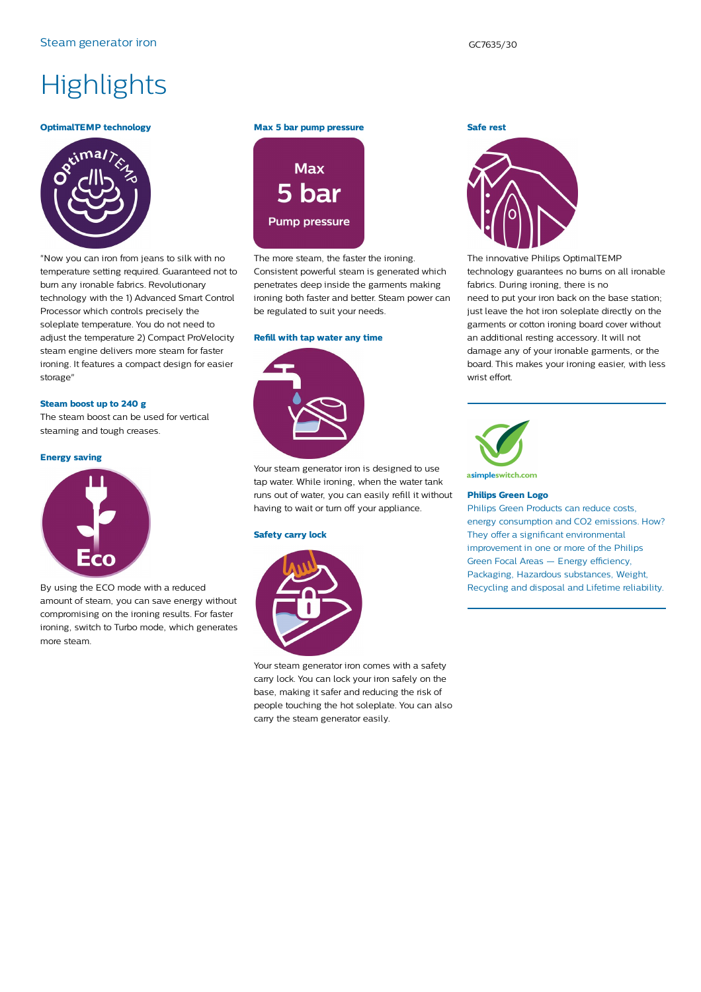## **Highlights**

#### **OptimalTEMP technology**



"Now you can iron from jeans to silk with no temperature setting required. Guaranteed not to burn any ironable fabrics. Revolutionary technology with the 1) Advanced Smart Control Processor which controls precisely the soleplate temperature. You do not need to adjust the temperature 2) Compact ProVelocity steam engine delivers more steam for faster ironing. It features a compact design for easier storage"

#### **Steam boost up to 240 g**

The steam boost can be used for vertical steaming and tough creases.

#### **Energy saving**



By using the ECO mode with a reduced amount of steam, you can save energy without compromising on the ironing results. For faster ironing, switch to Turbo mode, which generates more steam.

#### **Max 5 bar pump pressure**



The more steam, the faster the ironing. Consistent powerful steam is generated which penetrates deep inside the garments making ironing both faster and better. Steam power can be regulated to suit your needs.

#### **Refill with tap water any time**



Your steam generator iron is designed to use tap water. While ironing, when the water tank runs out of water, you can easily refill it without having to wait or turn off your appliance.

#### **Safety carry lock**



Your steam generator iron comes with a safety carry lock. You can lock your iron safely on the base, making it safer and reducing the risk of people touching the hot soleplate. You can also carry the steam generator easily.

### **Safe rest**



The innovative Philips OptimalTEMP technology guarantees no burns on all ironable fabrics. During ironing, there is no need to put your iron back on the base station; just leave the hot iron soleplate directly on the garments or cotton ironing board cover without an additional resting accessory. It will not damage any of your ironable garments, or the board. This makes your ironing easier, with less wrist effort.



#### **Philips Green Logo**

Philips Green Products can reduce costs, energy consumption and CO2 emissions. How? They offer a significant environmental improvement in one or more of the Philips Green Focal Areas — Energy efficiency, Packaging, Hazardous substances, Weight, Recycling and disposal and Lifetime reliability.